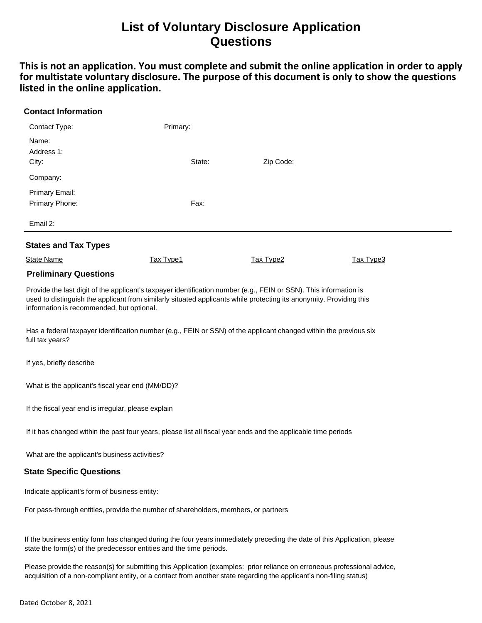## **List of Voluntary Disclosure Application Questions**

**This is not an application. You must complete and submit the online application in order to apply for multistate voluntary disclosure. The purpose of this document is only to show the questions listed in the online application.**

| <b>Contact Information</b>       |                  |           |           |  |
|----------------------------------|------------------|-----------|-----------|--|
| Contact Type:                    | Primary:         |           |           |  |
| Name:<br>Address 1:<br>City:     | State:           | Zip Code: |           |  |
| Company:                         |                  |           |           |  |
| Primary Email:<br>Primary Phone: | Fax:             |           |           |  |
| Email 2:                         |                  |           |           |  |
| <b>States and Tax Types</b>      |                  |           |           |  |
| <b>State Name</b>                | <b>Tax Type1</b> | Tax Type2 | Tax Type3 |  |

## **Preliminary Questions**

Provide the last digit of the applicant's taxpayer identification number (e.g., FEIN or SSN). This information is used to distinguish the applicant from similarly situated applicants while protecting its anonymity. Providing this information is recommended, but optional.

Has a federal taxpayer identification number (e.g., FEIN or SSN) of the applicant changed within the previous six full tax years?

If yes, briefly describe

What is the applicant's fiscal year end (MM/DD)?

If the fiscal year end is irregular, please explain

If it has changed within the past four years, please list all fiscal year ends and the applicable time periods

What are the applicant's business activities?

## **State Specific Questions**

Indicate applicant's form of business entity:

For pass-through entities, provide the number of shareholders, members, or partners

If the business entity form has changed during the four years immediately preceding the date of this Application, please state the form(s) of the predecessor entities and the time periods.

Please provide the reason(s) for submitting this Application (examples: prior reliance on erroneous professional advice, acquisition of a non-compliant entity, or a contact from another state regarding the applicant's non-filing status)